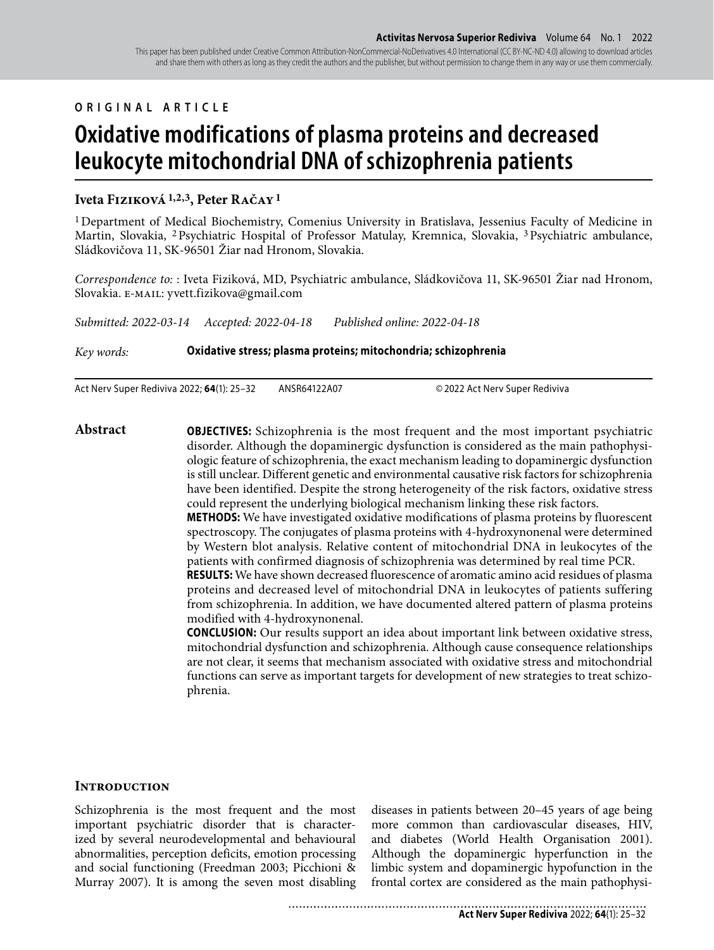## **ORIGINAL ARTICLE**

# **Oxidative modifications of plasma proteins and decreased leukocyte mitochondrial DNA of schizophrenia patients**

## **Iveta Fiziková 1,2,3, Peter Račay 1**

1 Department of Medical Biochemistry, Comenius University in Bratislava, Jessenius Faculty of Medicine in Martin, Slovakia, 2 Psychiatric Hospital of Professor Matulay, Kremnica, Slovakia, 3 Psychiatric ambulance, Sládkovičova 11, SK-96501 Žiar nad Hronom, Slovakia.

*Correspondence to:* : Iveta Fiziková, MD, Psychiatric ambulance, Sládkovičova 11, SK-96501 Žiar nad Hronom, Slovakia. e-mail: yvett.fizikova@gmail.com

*Submitted: 2022-03-14 Accepted: 2022-04-18 Published online: 2022-04-18*

*Key words:* **Oxidative stress; plasma proteins; mitochondria; schizophrenia** 

Act Nerv Super Rediviva 2022; **64**(1): 25–32 ANSR64122A07 © 2022 Act Nerv Super Rediviva

**Abstract OBJECTIVES:** Schizophrenia is the most frequent and the most important psychiatric disorder. Although the dopaminergic dysfunction is considered as the main pathophysiologic feature of schizophrenia, the exact mechanism leading to dopaminergic dysfunction is still unclear. Different genetic and environmental causative risk factors for schizophrenia have been identified. Despite the strong heterogeneity of the risk factors, oxidative stress could represent the underlying biological mechanism linking these risk factors. **METHODS:** We have investigated oxidative modifications of plasma proteins by fluorescent spectroscopy. The conjugates of plasma proteins with 4-hydroxynonenal were determined by Western blot analysis. Relative content of mitochondrial DNA in leukocytes of the patients with confirmed diagnosis of schizophrenia was determined by real time PCR. **RESULTS:** We have shown decreased fluorescence of aromatic amino acid residues of plasma proteins and decreased level of mitochondrial DNA in leukocytes of patients suffering from schizophrenia. In addition, we have documented altered pattern of plasma proteins modified with 4-hydroxynonenal. **CONCLUSION:** Our results support an idea about important link between oxidative stress, mitochondrial dysfunction and schizophrenia. Although cause consequence relationships

are not clear, it seems that mechanism associated with oxidative stress and mitochondrial functions can serve as important targets for development of new strategies to treat schizophrenia.

## **Introduction**

Schizophrenia is the most frequent and the most important psychiatric disorder that is characterized by several neurodevelopmental and behavioural abnormalities, perception deficits, emotion processing and social functioning (Freedman 2003; Picchioni & Murray 2007). It is among the seven most disabling

diseases in patients between 20–45 years of age being more common than cardiovascular diseases, HIV, and diabetes (World Health Organisation 2001). Although the dopaminergic hyperfunction in the limbic system and dopaminergic hypofunction in the frontal cortex are considered as the main pathophysi-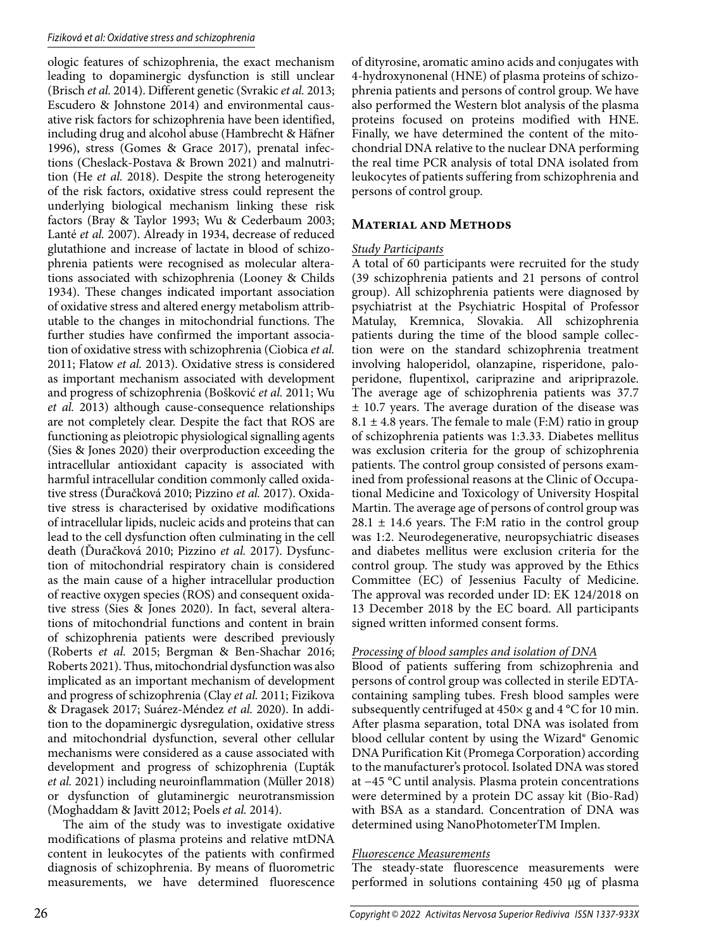#### Fiziková et al: Oxidative stress and schizophrenia

ologic features of schizophrenia, the exact mechanism leading to dopaminergic dysfunction is still unclear (Brisch *et al.* 2014). Different genetic (Svrakic *et al.* 2013; Escudero & Johnstone 2014) and environmental causative risk factors for schizophrenia have been identified, including drug and alcohol abuse (Hambrecht & Häfner 1996), stress (Gomes & Grace 2017), prenatal infections (Cheslack-Postava & Brown 2021) and malnutrition (He *et al.* 2018). Despite the strong heterogeneity of the risk factors, oxidative stress could represent the underlying biological mechanism linking these risk factors (Bray & Taylor 1993; Wu & Cederbaum 2003; Lanté *et al.* 2007). Already in 1934, decrease of reduced glutathione and increase of lactate in blood of schizophrenia patients were recognised as molecular alterations associated with schizophrenia (Looney & Childs 1934). These changes indicated important association of oxidative stress and altered energy metabolism attributable to the changes in mitochondrial functions. The further studies have confirmed the important association of oxidative stress with schizophrenia (Ciobica *et al.* 2011; Flatow *et al.* 2013). Oxidative stress is considered as important mechanism associated with development and progress of schizophrenia (Bošković *et al.* 2011; Wu *et al.* 2013) although cause-consequence relationships are not completely clear. Despite the fact that ROS are functioning as pleiotropic physiological signalling agents (Sies & Jones 2020) their overproduction exceeding the intracellular antioxidant capacity is associated with harmful intracellular condition commonly called oxidative stress (Ďuračková 2010; Pizzino *et al.* 2017). Oxidative stress is characterised by oxidative modifications of intracellular lipids, nucleic acids and proteins that can lead to the cell dysfunction often culminating in the cell death (Ďuračková 2010; Pizzino *et al.* 2017). Dysfunction of mitochondrial respiratory chain is considered as the main cause of a higher intracellular production of reactive oxygen species (ROS) and consequent oxidative stress (Sies & Jones 2020). In fact, several alterations of mitochondrial functions and content in brain of schizophrenia patients were described previously (Roberts *et al.* 2015; Bergman & Ben-Shachar 2016; Roberts 2021). Thus, mitochondrial dysfunction was also implicated as an important mechanism of development and progress of schizophrenia (Clay *et al.* 2011; Fizikova & Dragasek 2017; Suárez-Méndez *et al.* 2020). In addition to the dopaminergic dysregulation, oxidative stress and mitochondrial dysfunction, several other cellular mechanisms were considered as a cause associated with development and progress of schizophrenia (Ľupták *et al.* 2021) including neuroinflammation (Müller 2018) or dysfunction of glutaminergic neurotransmission (Moghaddam & Javitt 2012; Poels *et al.* 2014).

The aim of the study was to investigate oxidative modifications of plasma proteins and relative mtDNA content in leukocytes of the patients with confirmed diagnosis of schizophrenia. By means of fluorometric measurements, we have determined fluorescence

of dityrosine, aromatic amino acids and conjugates with 4-hydroxynonenal (HNE) of plasma proteins of schizophrenia patients and persons of control group. We have also performed the Western blot analysis of the plasma proteins focused on proteins modified with HNE. Finally, we have determined the content of the mitochondrial DNA relative to the nuclear DNA performing the real time PCR analysis of total DNA isolated from leukocytes of patients suffering from schizophrenia and persons of control group.

## **Material and Methods**

### *Study Participants*

A total of 60 participants were recruited for the study (39 schizophrenia patients and 21 persons of control group). All schizophrenia patients were diagnosed by psychiatrist at the Psychiatric Hospital of Professor Matulay, Kremnica, Slovakia. All schizophrenia patients during the time of the blood sample collection were on the standard schizophrenia treatment involving haloperidol, olanzapine, risperidone, paloperidone, flupentixol, cariprazine and aripriprazole. The average age of schizophrenia patients was 37.7 ± 10.7 years. The average duration of the disease was  $8.1 \pm 4.8$  years. The female to male (F:M) ratio in group of schizophrenia patients was 1:3.33. Diabetes mellitus was exclusion criteria for the group of schizophrenia patients. The control group consisted of persons examined from professional reasons at the Clinic of Occupational Medicine and Toxicology of University Hospital Martin. The average age of persons of control group was  $28.1 \pm 14.6$  years. The F:M ratio in the control group was 1:2. Neurodegenerative, neuropsychiatric diseases and diabetes mellitus were exclusion criteria for the control group. The study was approved by the Ethics Committee (EC) of Jessenius Faculty of Medicine. The approval was recorded under ID: EK 124/2018 on 13 December 2018 by the EC board. All participants signed written informed consent forms.

## *Processing of blood samples and isolation of DNA*

Blood of patients suffering from schizophrenia and persons of control group was collected in sterile EDTAcontaining sampling tubes. Fresh blood samples were subsequently centrifuged at 450× g and 4 °C for 10 min. After plasma separation, total DNA was isolated from blood cellular content by using the Wizard® Genomic DNA Purification Kit (Promega Corporation) according to the manufacturer's protocol. Isolated DNA was stored at −45 °C until analysis. Plasma protein concentrations were determined by a protein DC assay kit (Bio-Rad) with BSA as a standard. Concentration of DNA was determined using NanoPhotometerTM Implen.

## *Fluorescence Measurements*

The steady-state fluorescence measurements were performed in solutions containing 450 μg of plasma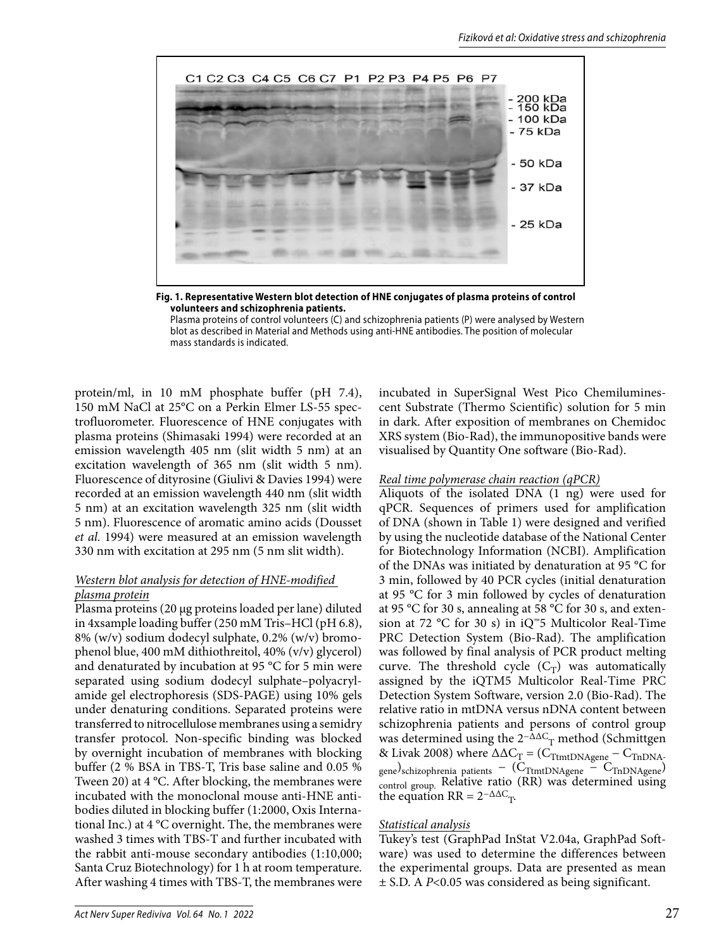

**Fig. 1. Representative Western blot detection of HNE conjugates of plasma proteins of control volunteers and schizophrenia patients.** Plasma proteins of control volunteers (C) and schizophrenia patients (P) were analysed by Western blot as described in Material and Methods using anti-HNE antibodies. The position of molecular

protein/ml, in 10 mM phosphate buffer (pH 7.4), 150 mM NaCl at 25°C on a Perkin Elmer LS-55 spectrofluorometer. Fluorescence of HNE conjugates with plasma proteins (Shimasaki 1994) were recorded at an emission wavelength 405 nm (slit width 5 nm) at an excitation wavelength of 365 nm (slit width 5 nm). Fluorescence of dityrosine (Giulivi & Davies 1994) were recorded at an emission wavelength 440 nm (slit width 5 nm) at an excitation wavelength 325 nm (slit width 5 nm). Fluorescence of aromatic amino acids (Dousset *et al.* 1994) were measured at an emission wavelength 330 nm with excitation at 295 nm (5 nm slit width).

mass standards is indicated.

## *Western blot analysis for detection of HNE-modified plasma protein*

Plasma proteins (20 μg proteins loaded per lane) diluted in 4xsample loading buffer (250 mM Tris–HCl (pH 6.8), 8% (w/v) sodium dodecyl sulphate, 0.2% (w/v) bromophenol blue, 400 mM dithiothreitol, 40% (v/v) glycerol) and denaturated by incubation at 95 °C for 5 min were separated using sodium dodecyl sulphate–polyacrylamide gel electrophoresis (SDS-PAGE) using 10% gels under denaturing conditions. Separated proteins were transferred to nitrocellulose membranes using a semidry transfer protocol. Non-specific binding was blocked by overnight incubation of membranes with blocking buffer (2 % BSA in TBS-T, Tris base saline and 0.05 % Tween 20) at 4 °C. After blocking, the membranes were incubated with the monoclonal mouse anti-HNE antibodies diluted in blocking buffer (1:2000, Oxis International Inc.) at 4 °C overnight. The, the membranes were washed 3 times with TBS-T and further incubated with the rabbit anti-mouse secondary antibodies (1:10,000; Santa Cruz Biotechnology) for 1 h at room temperature. After washing 4 times with TBS-T, the membranes were

incubated in SuperSignal West Pico Chemiluminescent Substrate (Thermo Scientific) solution for 5 min in dark. After exposition of membranes on Chemidoc XRS system (Bio-Rad), the immunopositive bands were visualised by Quantity One software (Bio-Rad).

#### *Real time polymerase chain reaction (qPCR)*

Aliquots of the isolated DNA (1 ng) were used for qPCR. Sequences of primers used for amplification of DNA (shown in Table 1) were designed and verified by using the nucleotide database of the National Center for Biotechnology Information (NCBI). Amplification of the DNAs was initiated by denaturation at 95 °C for 3 min, followed by 40 PCR cycles (initial denaturation at 95 °C for 3 min followed by cycles of denaturation at 95 °C for 30 s, annealing at 58 °C for 30 s, and extension at 72 °C for 30 s) in iQ™5 Multicolor Real-Time PRC Detection System (Bio-Rad). The amplification was followed by final analysis of PCR product melting curve. The threshold cycle  $(C_T)$  was automatically assigned by the iQTM5 Multicolor Real-Time PRC Detection System Software, version 2.0 (Bio-Rad). The relative ratio in mtDNA versus nDNA content between schizophrenia patients and persons of control group was determined using the  $2^{-\Delta\Delta C}$ <sub>T</sub> method (Schmittgen & Livak 2008) where  $\Delta \Delta C_T = (C_{\text{TtmtDNAgene}} - C_{\text{ThDNA}})$ gene)schizophrenia patients − ( $C_{\text{TtmtDNAgene}}$  –  $C_{\text{TnDNAgene}}$ ) control group. Relative ratio (RR) was determined using the equation RR =  $2^{-\Delta\Delta C_{T}}$ .

#### *Statistical analysis*

Tukey's test (GraphPad InStat V2.04a, GraphPad Software) was used to determine the differences between the experimental groups. Data are presented as mean ± S.D. A *P*<0.05 was considered as being significant.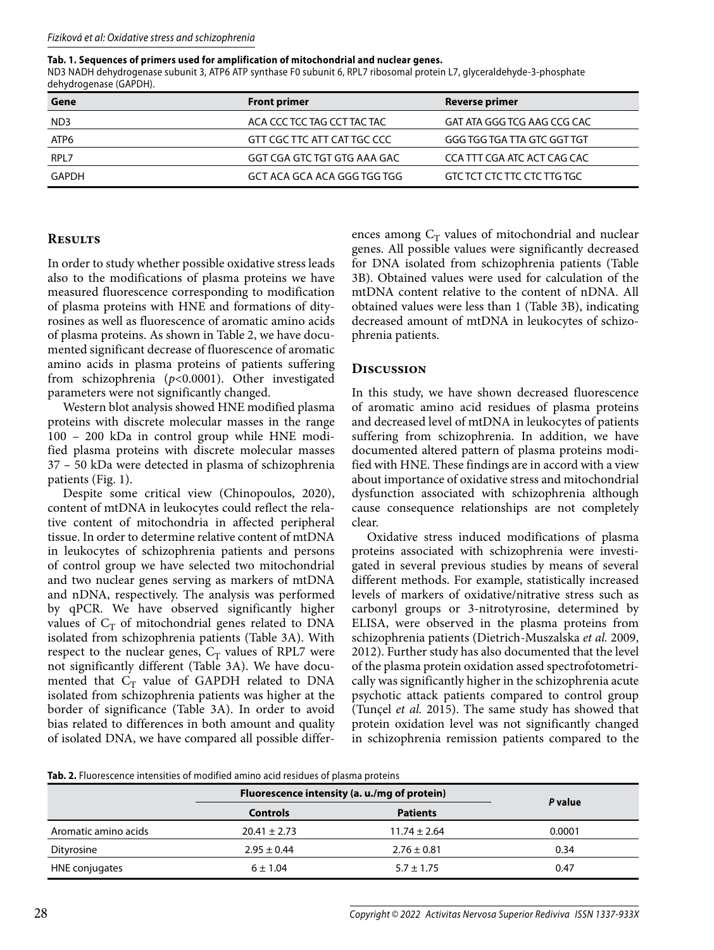#### **Tab. 1. Sequences of primers used for amplification of mitochondrial and nuclear genes.**

ND3 NADH dehydrogenase subunit 3, ATP6 ATP synthase F0 subunit 6, RPL7 ribosomal protein L7, glyceraldehyde-3-phosphate dehydrogenase (GAPDH).

| Gene            | <b>Front primer</b>         | Reverse primer              |
|-----------------|-----------------------------|-----------------------------|
| ND <sub>3</sub> | ACA CCC TCC TAG CCT TAC TAC | GAT ATA GGG TCG AAG CCG CAC |
| ATP6            | GTT CGC TTC ATT CAT TGC CCC | GGG TGG TGA TTA GTC GGT TGT |
| RPL7            | GGT CGA GTC TGT GTG AAA GAC | CCA TTT CGA ATC ACT CAG CAC |
| GAPDH           | GCT ACA GCA ACA GGG TGG TGG | GTC TCT CTC TTC CTC TTG TGC |

### **Results**

In order to study whether possible oxidative stress leads also to the modifications of plasma proteins we have measured fluorescence corresponding to modification of plasma proteins with HNE and formations of dityrosines as well as fluorescence of aromatic amino acids of plasma proteins. As shown in Table 2, we have documented significant decrease of fluorescence of aromatic amino acids in plasma proteins of patients suffering from schizophrenia (*p*<0.0001). Other investigated parameters were not significantly changed.

Western blot analysis showed HNE modified plasma proteins with discrete molecular masses in the range 100 – 200 kDa in control group while HNE modified plasma proteins with discrete molecular masses 37 – 50 kDa were detected in plasma of schizophrenia patients (Fig. 1).

Despite some critical view (Chinopoulos, 2020), content of mtDNA in leukocytes could reflect the relative content of mitochondria in affected peripheral tissue. In order to determine relative content of mtDNA in leukocytes of schizophrenia patients and persons of control group we have selected two mitochondrial and two nuclear genes serving as markers of mtDNA and nDNA, respectively. The analysis was performed by qPCR. We have observed significantly higher values of  $C_T$  of mitochondrial genes related to DNA isolated from schizophrenia patients (Table 3A). With respect to the nuclear genes,  $C_T$  values of RPL7 were not significantly different (Table 3A). We have documented that  $C_T$  value of GAPDH related to DNA isolated from schizophrenia patients was higher at the border of significance (Table 3A). In order to avoid bias related to differences in both amount and quality of isolated DNA, we have compared all possible differ-

ences among  $C_T$  values of mitochondrial and nuclear genes. All possible values were significantly decreased for DNA isolated from schizophrenia patients (Table 3B). Obtained values were used for calculation of the mtDNA content relative to the content of nDNA. All obtained values were less than 1 (Table 3B), indicating decreased amount of mtDNA in leukocytes of schizophrenia patients.

## **Discussion**

In this study, we have shown decreased fluorescence of aromatic amino acid residues of plasma proteins and decreased level of mtDNA in leukocytes of patients suffering from schizophrenia. In addition, we have documented altered pattern of plasma proteins modified with HNE. These findings are in accord with a view about importance of oxidative stress and mitochondrial dysfunction associated with schizophrenia although cause consequence relationships are not completely clear.

Oxidative stress induced modifications of plasma proteins associated with schizophrenia were investigated in several previous studies by means of several different methods. For example, statistically increased levels of markers of oxidative/nitrative stress such as carbonyl groups or 3-nitrotyrosine, determined by ELISA, were observed in the plasma proteins from schizophrenia patients (Dietrich-Muszalska *et al.* 2009, 2012). Further study has also documented that the level of the plasma protein oxidation assed spectrofotometrically was significantly higher in the schizophrenia acute psychotic attack patients compared to control group (Tunçel *et al.* 2015). The same study has showed that protein oxidation level was not significantly changed in schizophrenia remission patients compared to the

**Tab. 2.** Fluorescence intensities of modified amino acid residues of plasma proteins

|                      | Fluorescence intensity (a. u./mg of protein) |                  |         |
|----------------------|----------------------------------------------|------------------|---------|
|                      | <b>Controls</b>                              | <b>Patients</b>  | P value |
| Aromatic amino acids | $20.41 \pm 2.73$                             | $11.74 \pm 2.64$ | 0.0001  |
| Dityrosine           | $2.95 \pm 0.44$                              | $2.76 \pm 0.81$  | 0.34    |
| HNE conjugates       | $6 \pm 1.04$                                 | $5.7 \pm 1.75$   | 0.47    |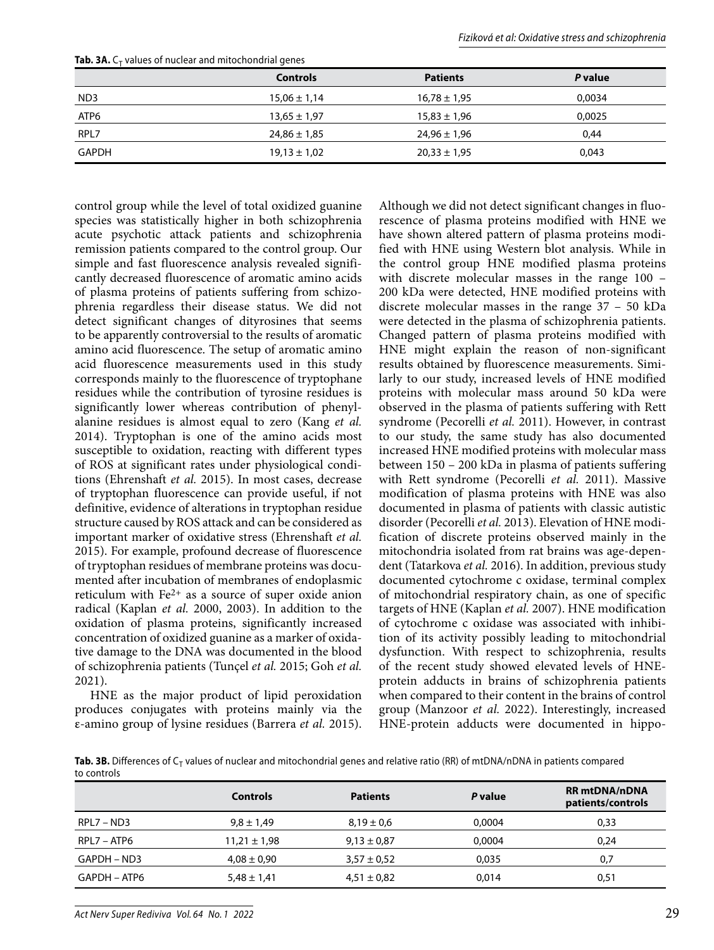|                 | <b>Controls</b>  | <b>Patients</b>  | P value |  |  |
|-----------------|------------------|------------------|---------|--|--|
| ND <sub>3</sub> | $15,06 \pm 1,14$ | $16,78 \pm 1,95$ | 0,0034  |  |  |
| ATP6            | $13,65 \pm 1,97$ | $15,83 \pm 1,96$ | 0,0025  |  |  |
| RPL7            | $24,86 \pm 1,85$ | $24,96 \pm 1,96$ | 0,44    |  |  |
| <b>GAPDH</b>    | $19,13 \pm 1,02$ | $20,33 \pm 1,95$ | 0,043   |  |  |

**Tab. 3A.**  $C_T$  values of nuclear and mitochondrial genes

control group while the level of total oxidized guanine species was statistically higher in both schizophrenia acute psychotic attack patients and schizophrenia remission patients compared to the control group. Our simple and fast fluorescence analysis revealed significantly decreased fluorescence of aromatic amino acids of plasma proteins of patients suffering from schizophrenia regardless their disease status. We did not detect significant changes of dityrosines that seems to be apparently controversial to the results of aromatic amino acid fluorescence. The setup of aromatic amino acid fluorescence measurements used in this study corresponds mainly to the fluorescence of tryptophane residues while the contribution of tyrosine residues is significantly lower whereas contribution of phenylalanine residues is almost equal to zero (Kang *et al.* 2014). Tryptophan is one of the amino acids most susceptible to oxidation, reacting with different types of ROS at significant rates under physiological conditions (Ehrenshaft *et al.* 2015). In most cases, decrease of tryptophan fluorescence can provide useful, if not definitive, evidence of alterations in tryptophan residue structure caused by ROS attack and can be considered as important marker of oxidative stress (Ehrenshaft *et al.* 2015). For example, profound decrease of fluorescence of tryptophan residues of membrane proteins was documented after incubation of membranes of endoplasmic reticulum with  $Fe<sup>2+</sup>$  as a source of super oxide anion radical (Kaplan *et al.* 2000, 2003). In addition to the oxidation of plasma proteins, significantly increased concentration of oxidized guanine as a marker of oxidative damage to the DNA was documented in the blood of schizophrenia patients (Tunçel *et al.* 2015; Goh *et al.* 2021).

HNE as the major product of lipid peroxidation produces conjugates with proteins mainly via the ε-amino group of lysine residues (Barrera *et al.* 2015).

Although we did not detect significant changes in fluorescence of plasma proteins modified with HNE we have shown altered pattern of plasma proteins modified with HNE using Western blot analysis. While in the control group HNE modified plasma proteins with discrete molecular masses in the range 100 – 200 kDa were detected, HNE modified proteins with discrete molecular masses in the range 37 – 50 kDa were detected in the plasma of schizophrenia patients. Changed pattern of plasma proteins modified with HNE might explain the reason of non-significant results obtained by fluorescence measurements. Similarly to our study, increased levels of HNE modified proteins with molecular mass around 50 kDa were observed in the plasma of patients suffering with Rett syndrome (Pecorelli *et al.* 2011). However, in contrast to our study, the same study has also documented increased HNE modified proteins with molecular mass between 150 – 200 kDa in plasma of patients suffering with Rett syndrome (Pecorelli *et al.* 2011). Massive modification of plasma proteins with HNE was also documented in plasma of patients with classic autistic disorder (Pecorelli *et al.* 2013). Elevation of HNE modification of discrete proteins observed mainly in the mitochondria isolated from rat brains was age-dependent (Tatarkova *et al.* 2016). In addition, previous study documented cytochrome c oxidase, terminal complex of mitochondrial respiratory chain, as one of specific targets of HNE (Kaplan *et al.* 2007). HNE modification of cytochrome c oxidase was associated with inhibition of its activity possibly leading to mitochondrial dysfunction. With respect to schizophrenia, results of the recent study showed elevated levels of HNEprotein adducts in brains of schizophrenia patients when compared to their content in the brains of control group (Manzoor *et al.* 2022). Interestingly, increased HNE-protein adducts were documented in hippo-

Tab. 3B. Differences of C<sub>T</sub> values of nuclear and mitochondrial genes and relative ratio (RR) of mtDNA/nDNA in patients compared to controls

|              | <b>Controls</b>  | <b>Patients</b> | P value | <b>RR</b> mtDNA/nDNA<br>patients/controls |
|--------------|------------------|-----------------|---------|-------------------------------------------|
| $RPL7 - ND3$ | $9.8 \pm 1.49$   | $8.19 \pm 0.6$  | 0.0004  | 0,33                                      |
| RPL7 – ATP6  | $11,21 \pm 1,98$ | $9,13 \pm 0,87$ | 0.0004  | 0,24                                      |
| GAPDH – ND3  | $4,08 \pm 0,90$  | $3,57 \pm 0.52$ | 0.035   | 0,7                                       |
| GAPDH – ATP6 | $5,48 \pm 1,41$  | $4,51 \pm 0,82$ | 0.014   | 0,51                                      |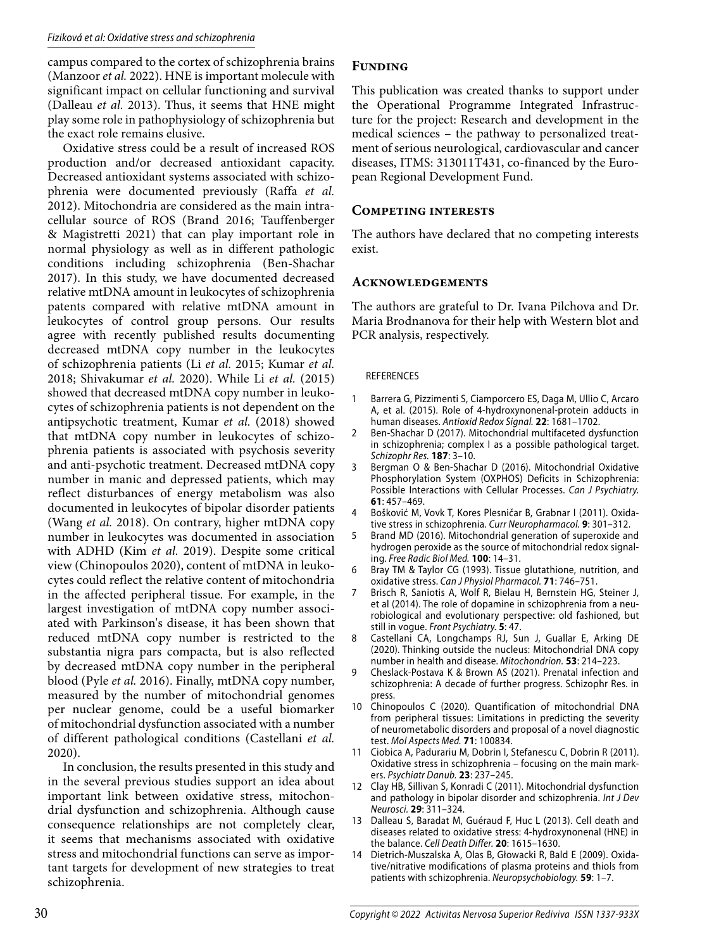#### Fiziková et al: Oxidative stress and schizophrenia

campus compared to the cortex of schizophrenia brains (Manzoor *et al.* 2022). HNE is important molecule with significant impact on cellular functioning and survival (Dalleau *et al.* 2013). Thus, it seems that HNE might play some role in pathophysiology of schizophrenia but the exact role remains elusive.

Oxidative stress could be a result of increased ROS production and/or decreased antioxidant capacity. Decreased antioxidant systems associated with schizophrenia were documented previously (Raffa *et al.* 2012). Mitochondria are considered as the main intracellular source of ROS (Brand 2016; Tauffenberger & Magistretti 2021) that can play important role in normal physiology as well as in different pathologic conditions including schizophrenia (Ben-Shachar 2017). In this study, we have documented decreased relative mtDNA amount in leukocytes of schizophrenia patents compared with relative mtDNA amount in leukocytes of control group persons. Our results agree with recently published results documenting decreased mtDNA copy number in the leukocytes of schizophrenia patients (Li *et al.* 2015; Kumar *et al.* 2018; Shivakumar *et al.* 2020). While Li *et al.* (2015) showed that decreased mtDNA copy number in leukocytes of schizophrenia patients is not dependent on the antipsychotic treatment, Kumar *et al.* (2018) showed that mtDNA copy number in leukocytes of schizophrenia patients is associated with psychosis severity and anti-psychotic treatment. Decreased mtDNA copy number in manic and depressed patients, which may reflect disturbances of energy metabolism was also documented in leukocytes of bipolar disorder patients (Wang *et al.* 2018). On contrary, higher mtDNA copy number in leukocytes was documented in association with ADHD (Kim *et al.* 2019). Despite some critical view (Chinopoulos 2020), content of mtDNA in leukocytes could reflect the relative content of mitochondria in the affected peripheral tissue. For example, in the largest investigation of mtDNA copy number associated with Parkinson's disease, it has been shown that reduced mtDNA copy number is restricted to the substantia nigra pars compacta, but is also reflected by decreased mtDNA copy number in the peripheral blood (Pyle *et al.* 2016). Finally, mtDNA copy number, measured by the number of mitochondrial genomes per nuclear genome, could be a useful biomarker of mitochondrial dysfunction associated with a number of different pathological conditions (Castellani *et al.* 2020).

In conclusion, the results presented in this study and in the several previous studies support an idea about important link between oxidative stress, mitochondrial dysfunction and schizophrenia. Although cause consequence relationships are not completely clear, it seems that mechanisms associated with oxidative stress and mitochondrial functions can serve as important targets for development of new strategies to treat schizophrenia.

## **Funding**

This publication was created thanks to support under the Operational Programme Integrated Infrastructure for the project: Research and development in the medical sciences – the pathway to personalized treatment of serious neurological, cardiovascular and cancer diseases, ITMS: 313011T431, co-financed by the European Regional Development Fund.

## **Competing interests**

The authors have declared that no competing interests exist.

## **Acknowledgements**

The authors are grateful to Dr. Ivana Pilchova and Dr. Maria Brodnanova for their help with Western blot and PCR analysis, respectively.

### REFERENCES

- 1 Barrera G, Pizzimenti S, Ciamporcero ES, Daga M, Ullio C, Arcaro A, et al. (2015). Role of 4-hydroxynonenal-protein adducts in human diseases. Antioxid Redox Signal. **22**: 1681–1702.
- 2 Ben-Shachar D (2017). Mitochondrial multifaceted dysfunction in schizophrenia; complex I as a possible pathological target. Schizophr Res. **187**: 3–10.
- 3 Bergman O & Ben-Shachar D (2016). Mitochondrial Oxidative Phosphorylation System (OXPHOS) Deficits in Schizophrenia: Possible Interactions with Cellular Processes. Can J Psychiatry. **61**: 457–469.
- 4 Bošković M, Vovk T, Kores Plesničar B, Grabnar I (2011). Oxidative stress in schizophrenia. Curr Neuropharmacol. **9**: 301–312.
- 5 Brand MD (2016). Mitochondrial generation of superoxide and hydrogen peroxide as the source of mitochondrial redox signaling. Free Radic Biol Med. **100**: 14–31.
- 6 Bray TM & Taylor CG (1993). Tissue glutathione, nutrition, and oxidative stress. Can J Physiol Pharmacol. **71**: 746–751.
- 7 Brisch R, Saniotis A, Wolf R, Bielau H, Bernstein HG, Steiner J, et al (2014). The role of dopamine in schizophrenia from a neurobiological and evolutionary perspective: old fashioned, but still in vogue. Front Psychiatry. **5**: 47.
- 8 Castellani CA, Longchamps RJ, Sun J, Guallar E, Arking DE (2020). Thinking outside the nucleus: Mitochondrial DNA copy number in health and disease. Mitochondrion. **53**: 214–223.
- 9 Cheslack-Postava K & Brown AS (2021). Prenatal infection and schizophrenia: A decade of further progress. Schizophr Res. in press.
- 10 Chinopoulos C (2020). Quantification of mitochondrial DNA from peripheral tissues: Limitations in predicting the severity of neurometabolic disorders and proposal of a novel diagnostic test. Mol Aspects Med. **71**: 100834.
- 11 Ciobica A, Padurariu M, Dobrin I, Stefanescu C, Dobrin R (2011). Oxidative stress in schizophrenia – focusing on the main markers. Psychiatr Danub. **23**: 237–245.
- 12 Clay HB, Sillivan S, Konradi C (2011). Mitochondrial dysfunction and pathology in bipolar disorder and schizophrenia. Int J Dev Neurosci. **29**: 311–324.
- 13 Dalleau S, Baradat M, Guéraud F, Huc L (2013). Cell death and diseases related to oxidative stress: 4-hydroxynonenal (HNE) in the balance. Cell Death Differ. **20**: 1615–1630.
- 14 Dietrich-Muszalska A, Olas B, Głowacki R, Bald E (2009). Oxidative/nitrative modifications of plasma proteins and thiols from patients with schizophrenia. Neuropsychobiology. **59**: 1–7.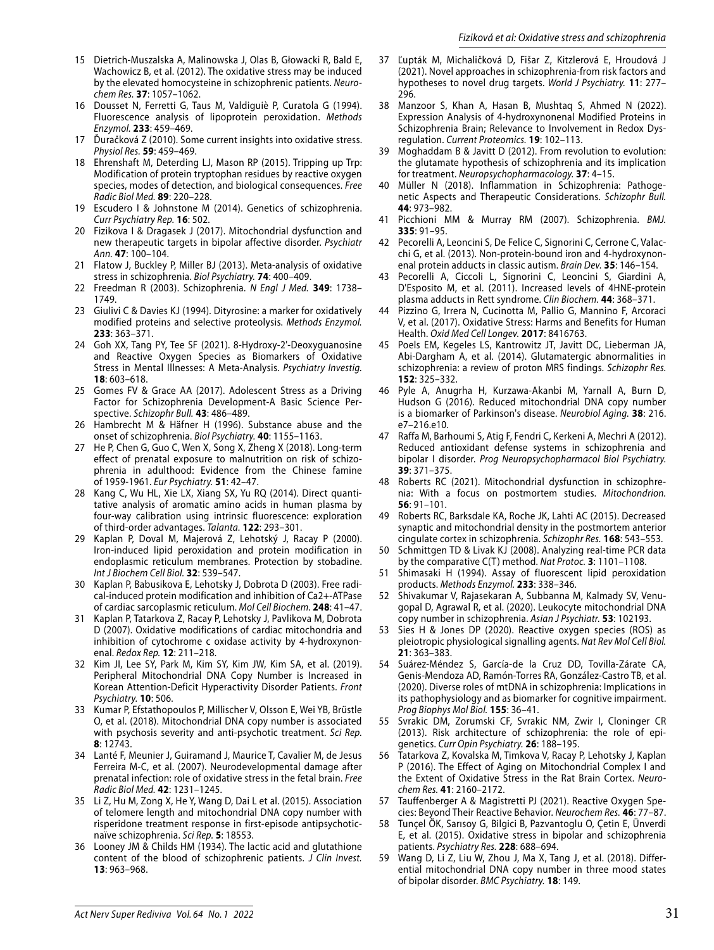- 15 Dietrich-Muszalska A, Malinowska J, Olas B, Głowacki R, Bald E, Wachowicz B, et al. (2012). The oxidative stress may be induced by the elevated homocysteine in schizophrenic patients. Neurochem Res. **37**: 1057–1062.
- 16 Dousset N, Ferretti G, Taus M, Valdiguiè P, Curatola G (1994). Fluorescence analysis of lipoprotein peroxidation. Methods Enzymol. **233**: 459–469.
- 17 Ďuračková Z (2010). Some current insights into oxidative stress. Physiol Res. **59**: 459–469.
- 18 Ehrenshaft M, Deterding LJ, Mason RP (2015). Tripping up Trp: Modification of protein tryptophan residues by reactive oxygen species, modes of detection, and biological consequences. Free Radic Biol Med. **89**: 220–228.
- 19 Escudero I & Johnstone M (2014). Genetics of schizophrenia. Curr Psychiatry Rep. **16**: 502.
- 20 Fizikova I & Dragasek J (2017). Mitochondrial dysfunction and new therapeutic targets in bipolar affective disorder. Psychiatr Ann. **47**: 100–104.
- 21 Flatow J, Buckley P, Miller BJ (2013). Meta-analysis of oxidative stress in schizophrenia. Biol Psychiatry. **74**: 400–409.
- 22 Freedman R (2003). Schizophrenia. N Engl J Med. **349**: 1738– 1749.
- 23 Giulivi C & Davies KJ (1994). Dityrosine: a marker for oxidatively modified proteins and selective proteolysis. Methods Enzymol. **233**: 363–371.
- 24 Goh XX, Tang PY, Tee SF (2021). 8-Hydroxy-2'-Deoxyguanosine and Reactive Oxygen Species as Biomarkers of Oxidative Stress in Mental Illnesses: A Meta-Analysis. Psychiatry Investig. **18**: 603–618.
- 25 Gomes FV & Grace AA (2017). Adolescent Stress as a Driving Factor for Schizophrenia Development-A Basic Science Perspective. Schizophr Bull. **43**: 486–489.
- 26 Hambrecht M & Häfner H (1996). Substance abuse and the onset of schizophrenia. Biol Psychiatry. **40**: 1155–1163.
- 27 He P, Chen G, Guo C, Wen X, Song X, Zheng X (2018). Long-term effect of prenatal exposure to malnutrition on risk of schizophrenia in adulthood: Evidence from the Chinese famine of 1959-1961. Eur Psychiatry. **51**: 42–47.
- 28 Kang C, Wu HL, Xie LX, Xiang SX, Yu RQ (2014). Direct quantitative analysis of aromatic amino acids in human plasma by four-way calibration using intrinsic fluorescence: exploration of third-order advantages. Talanta. **122**: 293–301.
- 29 Kaplan P, Doval M, Majerová Z, Lehotský J, Racay P (2000). Iron-induced lipid peroxidation and protein modification in endoplasmic reticulum membranes. Protection by stobadine. Int J Biochem Cell Biol. **32**: 539–547.
- 30 Kaplan P, Babusikova E, Lehotsky J, Dobrota D (2003). Free radical-induced protein modification and inhibition of Ca2+-ATPase of cardiac sarcoplasmic reticulum. Mol Cell Biochem. **248**: 41–47.
- 31 Kaplan P, Tatarkova Z, Racay P, Lehotsky J, Pavlikova M, Dobrota D (2007). Oxidative modifications of cardiac mitochondria and inhibition of cytochrome c oxidase activity by 4-hydroxynonenal. Redox Rep. **12**: 211–218.
- 32 Kim JI, Lee SY, Park M, Kim SY, Kim JW, Kim SA, et al. (2019). Peripheral Mitochondrial DNA Copy Number is Increased in Korean Attention-Deficit Hyperactivity Disorder Patients. Front Psychiatry. **10**: 506.
- 33 Kumar P, Efstathopoulos P, Millischer V, Olsson E, Wei YB, Brüstle O, et al. (2018). Mitochondrial DNA copy number is associated with psychosis severity and anti-psychotic treatment. Sci Rep. **8**: 12743.
- 34 Lanté F, Meunier J, Guiramand J, Maurice T, Cavalier M, de Jesus Ferreira M-C, et al. (2007). Neurodevelopmental damage after prenatal infection: role of oxidative stress in the fetal brain. Free Radic Biol Med. **42**: 1231–1245.
- 35 Li Z, Hu M, Zong X, He Y, Wang D, Dai L et al. (2015). Association of telomere length and mitochondrial DNA copy number with risperidone treatment response in first-episode antipsychoticnaïve schizophrenia. Sci Rep. **5**: 18553.
- 36 Looney JM & Childs HM (1934). The lactic acid and glutathione content of the blood of schizophrenic patients. J Clin Invest. **13**: 963–968.
- 37 Ľupták M, Michaličková D, Fišar Z, Kitzlerová E, Hroudová J (2021). Novel approaches in schizophrenia-from risk factors and hypotheses to novel drug targets. World J Psychiatry. **11**: 277– 296.
- 38 Manzoor S, Khan A, Hasan B, Mushtaq S, Ahmed N (2022). Expression Analysis of 4-hydroxynonenal Modified Proteins in Schizophrenia Brain; Relevance to Involvement in Redox Dysregulation. Current Proteomics. **19**: 102–113.
- 39 Moghaddam B & Javitt D (2012). From revolution to evolution: the glutamate hypothesis of schizophrenia and its implication for treatment. Neuropsychopharmacology. **37**: 4–15.
- 40 Müller N (2018). Inflammation in Schizophrenia: Pathogenetic Aspects and Therapeutic Considerations. Schizophr Bull. **44**: 973–982.
- 41 Picchioni MM & Murray RM (2007). Schizophrenia. BMJ. **335**: 91–95.
- 42 Pecorelli A, Leoncini S, De Felice C, Signorini C, Cerrone C, Valacchi G, et al. (2013). Non-protein-bound iron and 4-hydroxynonenal protein adducts in classic autism. Brain Dev. **35**: 146–154.
- 43 Pecorelli A, Ciccoli L, Signorini C, Leoncini S, Giardini A, D'Esposito M, et al. (2011). Increased levels of 4HNE-protein plasma adducts in Rett syndrome. Clin Biochem. **44**: 368–371.
- Pizzino G, Irrera N, Cucinotta M, Pallio G, Mannino F, Arcoraci V, et al. (2017). Oxidative Stress: Harms and Benefits for Human Health. Oxid Med Cell Longev. **2017**: 8416763.
- 45 Poels EM, Kegeles LS, Kantrowitz JT, Javitt DC, Lieberman JA, Abi-Dargham A, et al. (2014). Glutamatergic abnormalities in schizophrenia: a review of proton MRS findings. Schizophr Res. **152**: 325–332.
- 46 Pyle A, Anugrha H, Kurzawa-Akanbi M, Yarnall A, Burn D, Hudson G (2016). Reduced mitochondrial DNA copy number is a biomarker of Parkinson's disease. Neurobiol Aging. **38**: 216. e7–216.e10.
- 47 Raffa M, Barhoumi S, Atig F, Fendri C, Kerkeni A, Mechri A (2012). Reduced antioxidant defense systems in schizophrenia and bipolar I disorder. Prog Neuropsychopharmacol Biol Psychiatry. **39**: 371–375.
- 48 Roberts RC (2021). Mitochondrial dysfunction in schizophrenia: With a focus on postmortem studies. Mitochondrion. **56**: 91–101.
- 49 Roberts RC, Barksdale KA, Roche JK, Lahti AC (2015). Decreased synaptic and mitochondrial density in the postmortem anterior cingulate cortex in schizophrenia. Schizophr Res. **168**: 543–553.
- 50 Schmittgen TD & Livak KJ (2008). Analyzing real-time PCR data by the comparative C(T) method. Nat Protoc. **3**: 1101–1108.
- Shimasaki H (1994). Assay of fluorescent lipid peroxidation products. Methods Enzymol. **233**: 338–346.
- 52 Shivakumar V, Rajasekaran A, Subbanna M, Kalmady SV, Venugopal D, Agrawal R, et al. (2020). Leukocyte mitochondrial DNA copy number in schizophrenia. Asian J Psychiatr. **53**: 102193.
- 53 Sies H & Jones DP (2020). Reactive oxygen species (ROS) as pleiotropic physiological signalling agents. Nat Rev Mol Cell Biol. **21**: 363–383.
- 54 Suárez-Méndez S, García-de la Cruz DD, Tovilla-Zárate CA, Genis-Mendoza AD, Ramón-Torres RA, González-Castro TB, et al. (2020). Diverse roles of mtDNA in schizophrenia: Implications in its pathophysiology and as biomarker for cognitive impairment. Prog Biophys Mol Biol. **155**: 36–41.
- 55 Svrakic DM, Zorumski CF, Svrakic NM, Zwir I, Cloninger CR (2013). Risk architecture of schizophrenia: the role of epigenetics. Curr Opin Psychiatry. **26**: 188–195.
- 56 Tatarkova Z, Kovalska M, Timkova V, Racay P, Lehotsky J, Kaplan P (2016). The Effect of Aging on Mitochondrial Complex I and the Extent of Oxidative Stress in the Rat Brain Cortex. Neurochem Res. **41**: 2160–2172.
- Tauffenberger A & Magistretti PJ (2021). Reactive Oxygen Species: Beyond Their Reactive Behavior. Neurochem Res. **46**: 77–87.
- 58 Tunçel ÖK, Sarısoy G, Bilgici B, Pazvantoglu O, Çetin E, Ünverdi E, et al. (2015). Oxidative stress in bipolar and schizophrenia patients. Psychiatry Res. **228**: 688–694.
- 59 Wang D, Li Z, Liu W, Zhou J, Ma X, Tang J, et al. (2018). Differential mitochondrial DNA copy number in three mood states of bipolar disorder. BMC Psychiatry. **18**: 149.